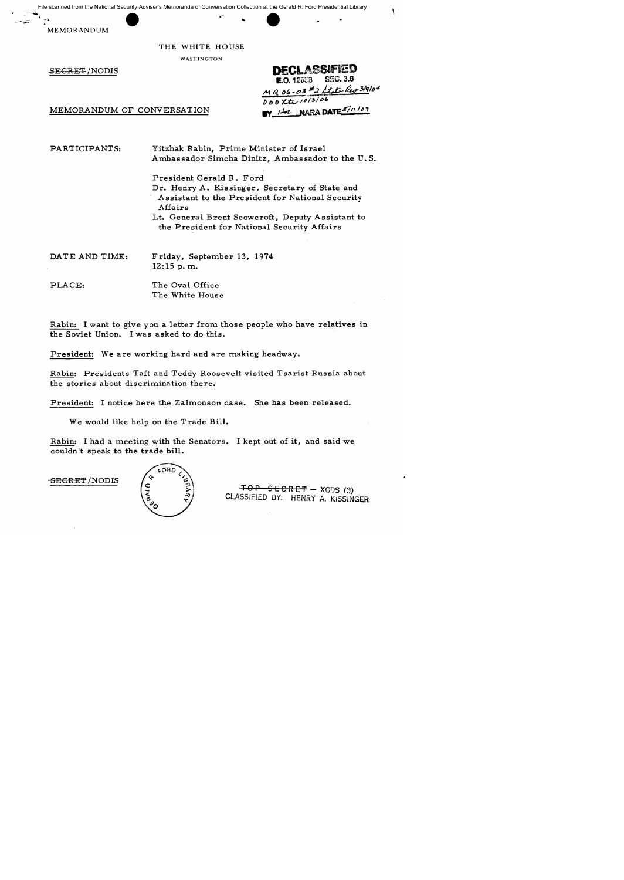File scanned from the National Security Adviser's Memoranda of Conversation Collection at the Gerald R. Ford Presidential Library

...

MEMORANDUM

THE WHITE HOUSE

WASHINGTON

SEGRET/NODIS DECLASSIFIED **E.O. 12558** MR 06-03 #2 State Rev 3/9/04 *DOOXte 1013106*<br>BY HA NARA DATE 5/11/07

 $\sqrt{2}$ 

**MEMORANDUM OF CONVERSATION** 

PARTICIPANTS:

Yitzhak Rabin, Prime Minister of Israel Ambassador Simcha Dinitz, Ambassador to the U. S.

President Gerald R. Ford Dr. Henry A. Kissinger, Secretary of State and Assistant to the President for National Security Affairs Lt. General Brent Scowcroft, Deputy Assistant to the President for National Security Affairs

DATE AND TIME: Friday, September 13, 1974 12:15 p.m.

PLACE:

The Oval Office The White House

Rabin: I want to give you a letter from those people who have relatives in the Soviet Union. I was asked to do this.

President: We are working hard and are making headway.

Rabin: Presidents Taft and Teddy Roosevelt visited Tsarist Russia about the stories about discrimination there.

President: I notice here the Zalmonson case. She has been released.

We would like help on the Trade Bill.

Rabin: I had a meeting with the Senators. I kept out of it, and said we couldn't speak to the trade bill.

<del>SECRET</del> /NODIS



 $-70 P - 5 E C R E T - XGDS (3)$ CLASSiFIED *BY;* HENRY A. K1SSLNGfR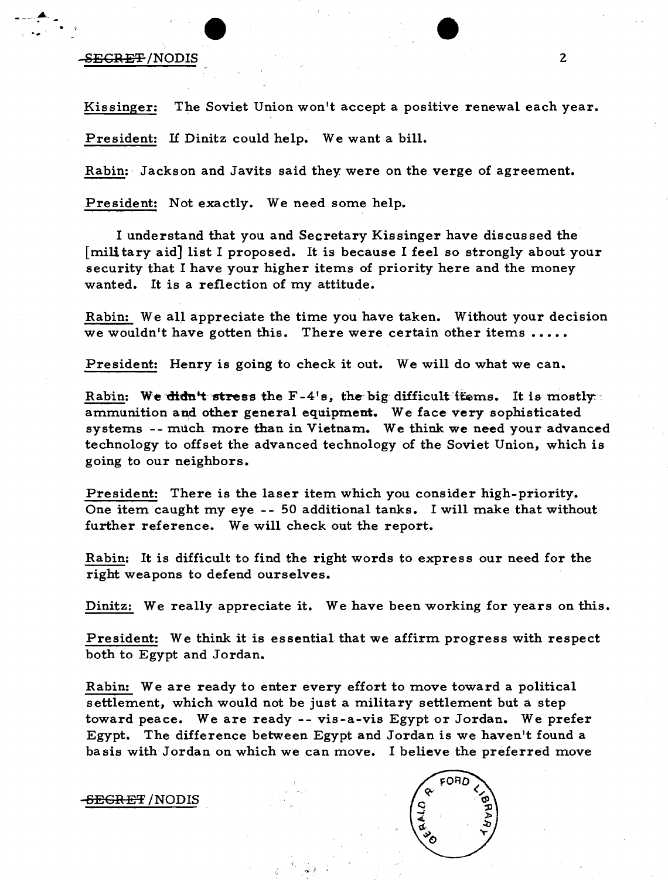## -SECRET /NODIS 2

-..

Kissinger: The Soviet Union won't accept a positive renewal each year.

President: If Dinitz could help. We want a bill.

Rabin:· Jackson and Javits said they were on the verge of agreement.

President: Not exactly. We need some help.

I understand that you and Secretary Kissinger have discussed the [mili tary aid] list I proposed. It is because I feel so strongly about your security that I have your higher items of priority here and the money wanted. It is a reflection of my attitude.

Rabin: We all appreciate the time you have taken. Without your decision we wouldn't have gotten this. There were certain other items  $\dots$ 

President: Henry is going to check it out. We will do what we can.

Rabin: We didn't stress the  $F-4'$ s, the big difficult ttems. It is mostly: ammunition and other general equipment. We face very sophisticated systems -- much more than in Vietnam. We think we need your advanced technology to offset the advanced technology of the Soviet Union, which is going to our neighbors.

President: There is the laser item which you consider high-priority. One item caught my eye -- 50 additional tanks. I will make that without further reference. We will check out the report.

Rabin: It is difficult to find the right words to express our need for the right weapons to defend ourselves.

Dinitz: We really appreciate it. We have been working for years on this.

President: We think it is essential that we affirm progress with respect both to Egypt and Jordan.

Rabin: We are ready to enter every effort to move toward a political settlement, which would not be just a military settlement but a step toward peace. We are ready -- vis-a-vis Egypt or Jordan. We prefer Egypt. The difference between Egypt and Jordan is we haven't found a basis with Jordan on which we can move. I believe the preferred move

-SECRET /NODIS

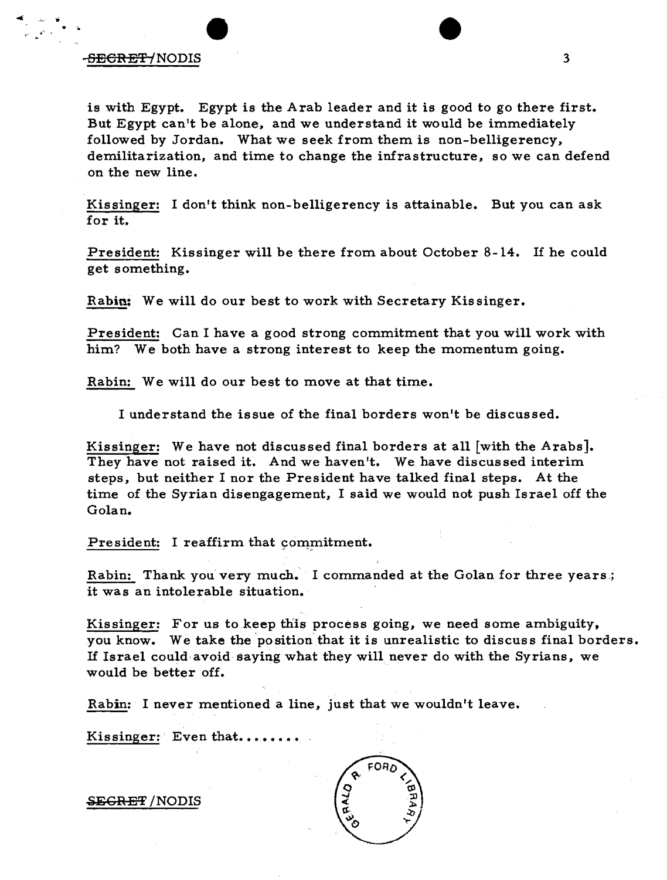## -S<del>ECRET/</del>NODIS 3

*1. .• ,* 

is with Egypt. Egypt is the A rab leader and it is good to go there first. But Egypt can't be alone, and we understand it would be immediately followed by Jordan. What we seek from them is non-belligerency, demilitarization, and time to change the infrastructure, so we can defend on the new line.

Kissinger: I don't think non-belligerency is attainable. But you can ask for it.

President: Kissinger will be there from about October 8-14. If he could get something.

Rabin: We will do our best to work with Secretary Kissinger.

President: Can I have a good strong commitment that you will work with him? We both have a strong interest to keep the momentum going.

Rabin: We will do our best to move at that time.

I understand the issue of the final borders won't be discussed.

Kissinger: We have not discussed final borders at all [with the Arabs]. They have not raised it. And we haven't. We have discussed interim steps. but neither I nor the President have talked final steps. At the time of the Syrian disengagement, I said we would not push Israel off the Golan.

President: I reaffirm that commitment. ,~" - w ••

Rabin: Thank you very much. I commanded at the Golan for three years.; it was an intolerable situation.

Kissinger: For us to keep this process going, we need some ambiguity, you know. We take the position that it is unrealistic to discuss final borders. If Israel could·avoid saying what they will never do with the Syrians, we would be better off.

Rabin: I never mentioned a line, just that we wouldn't leave.

Kissinger: Even that.....

<del>SECRET</del> /NODIS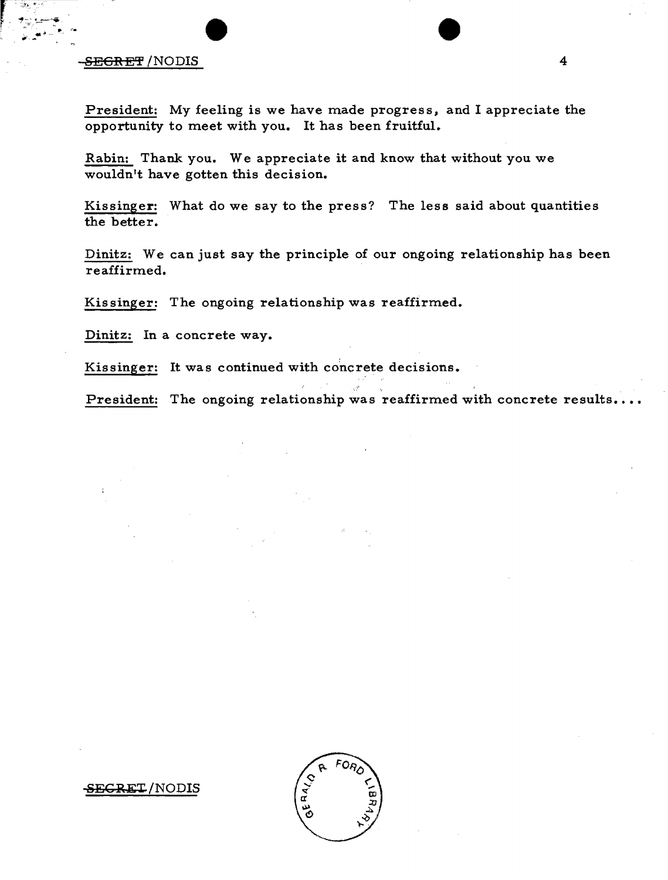## -SEGRET /NODIS 4

President: My feeling is we have made progress, and I appreciate the opportunity to meet with you. It has been fruitful.

Rabin: Thank you. We appreciate it and know that without you we wouldn't have gotten this decision.

Kissinger: What do we say to the press? The less said about quantities the better.

Dinitz: We can just say the principle of our ongoing relationship has been reaffirmed.

Kissinger: The ongoing relationship was reaffirmed.

Dinitz: In a concrete way.

Kissinger: It was continued with concrete decisions.

President: The ongoing relationship was reaffirmed with concrete results....



-SE<del>CRET</del>/NODIS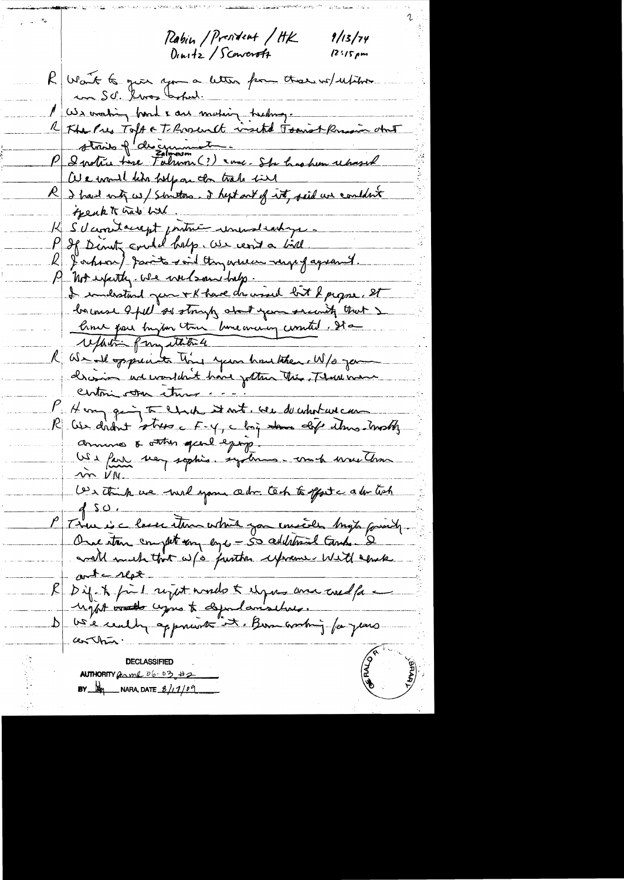Rabin / President / HK Dinitz / Sconcrotz

 $9/13/74$  $12:15~\mu m$ 

R Want to give you a letter for there we uption con S.d. Gros Caspel. 1 US voting hard & are mating treating. stroits of descriment P & votre time Falmon (?) ence-Sta has hen repassed We would him help on the trake field R I had not us/ sometons. I hept out of int, said we couldn't thenk to hats had K S'el containept pritre une dentique R Jochson) parits said Amareux reges gagearent. A not expectly we we bannedalp. I industant pour + K have der visel loit & propre, et bourse apel as strongly about your second that refait frystitie We all opperante that your how there. W/s you  $\mathcal{K}_+$ chasion and wouldn't have justime the Thank man centri on ture P Henry quin to chach it mit were de chatave un annune & other gear equip US a faire mon sophis. systems-comp were tom  $200V$ We think we will you also tech to get a les tich  $450.$ P There is a lasser stern which you enceeded bright formed, ant c Met R Dif. A fin 1 reject would to elgen and coel fa a  $arthx$ **FREEZE DECLASSIFIED** AUTHORITY GRAML D6-03, 42

**BY**  $M_2$  NARA, DATE  $B/11/109$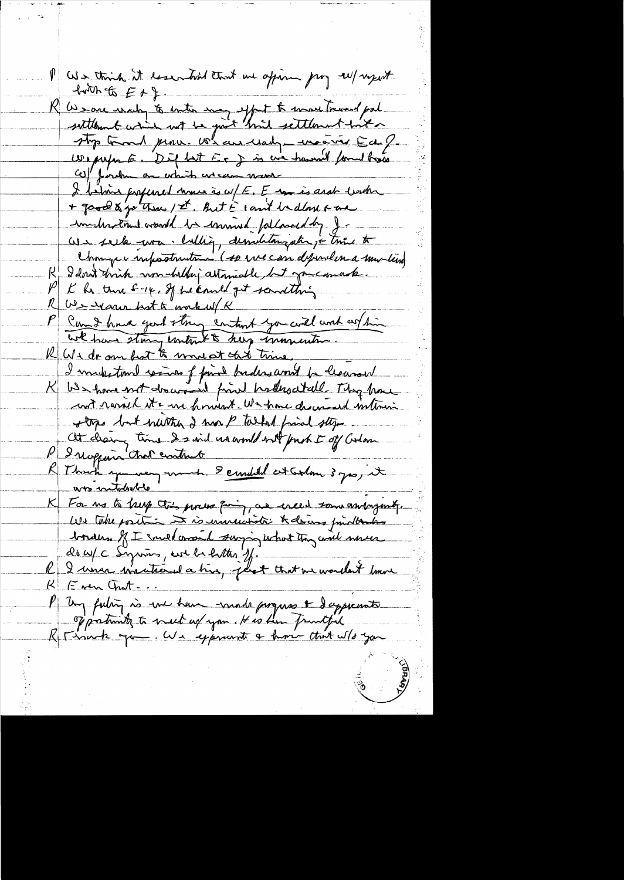We think it issurtied that we opin pry self upot  $-40066E+E+2$ R We save water for enter may effect to move tremed pal We perform an extrait en est avec travail formel trace I behind profened were is w/E. E un is and link + good & go three / I hut i count be done & are imideration would be commed followed by J. We seek was Willig, dessuration, i trie to Chinage e infostruiten. (A we can deposel en a mortun R I don't trink un heller attamable, but meanach. K he there sure of the could get something Ous venu best à makuel K we have story entered to help emmention. R We do an hot to wonest that time, I mulastome resume of final budes and be leaved K We have not do would find had noded . They have unt rarail et a une forment. We have descended intervis stops but within I won't talked friend stops At dearing time I said usamble with push I of Color P Inoppoint that contract R Thank you were not semble et colon 3 pas it was intolacted K For no to be point this process pain, and enced some antaginate.<br>We take position and consumeration of the document moves  $R$   $F$  ver Grat ... P Ung futing is we have made progress & dappearate